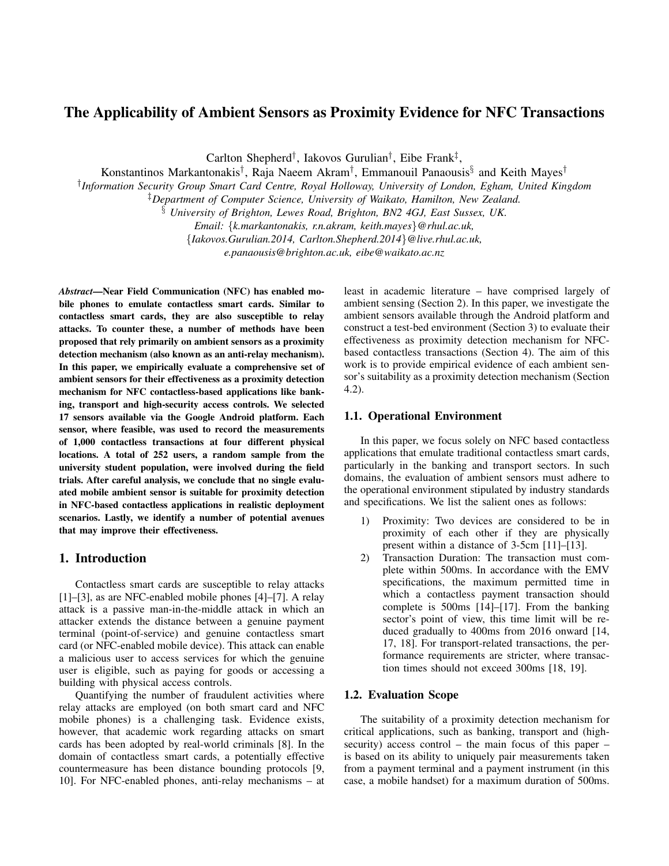# The Applicability of Ambient Sensors as Proximity Evidence for NFC Transactions

Carlton Shepherd† , Iakovos Gurulian† , Eibe Frank‡ ,

Konstantinos Markantonakis<sup>†</sup>, Raja Naeem Akram<sup>†</sup>, Emmanouil Panaousis<sup>§</sup> and Keith Mayes<sup>†</sup>

† *Information Security Group Smart Card Centre, Royal Holloway, University of London, Egham, United Kingdom*

‡*Department of Computer Science, University of Waikato, Hamilton, New Zealand.*

§ *University of Brighton, Lewes Road, Brighton, BN2 4GJ, East Sussex, UK.*

*Email:* {*k.markantonakis, r.n.akram, keith.mayes*}*@rhul.ac.uk,*

{*Iakovos.Gurulian.2014, Carlton.Shepherd.2014*}*@live.rhul.ac.uk,*

*e.panaousis@brighton.ac.uk, eibe@waikato.ac.nz*

*Abstract*—Near Field Communication (NFC) has enabled mobile phones to emulate contactless smart cards. Similar to contactless smart cards, they are also susceptible to relay attacks. To counter these, a number of methods have been proposed that rely primarily on ambient sensors as a proximity detection mechanism (also known as an anti-relay mechanism). In this paper, we empirically evaluate a comprehensive set of ambient sensors for their effectiveness as a proximity detection mechanism for NFC contactless-based applications like banking, transport and high-security access controls. We selected 17 sensors available via the Google Android platform. Each sensor, where feasible, was used to record the measurements of 1,000 contactless transactions at four different physical locations. A total of 252 users, a random sample from the university student population, were involved during the field trials. After careful analysis, we conclude that no single evaluated mobile ambient sensor is suitable for proximity detection in NFC-based contactless applications in realistic deployment scenarios. Lastly, we identify a number of potential avenues that may improve their effectiveness.

## 1. Introduction

Contactless smart cards are susceptible to relay attacks [1]–[3], as are NFC-enabled mobile phones [4]–[7]. A relay attack is a passive man-in-the-middle attack in which an attacker extends the distance between a genuine payment terminal (point-of-service) and genuine contactless smart card (or NFC-enabled mobile device). This attack can enable a malicious user to access services for which the genuine user is eligible, such as paying for goods or accessing a building with physical access controls.

Quantifying the number of fraudulent activities where relay attacks are employed (on both smart card and NFC mobile phones) is a challenging task. Evidence exists, however, that academic work regarding attacks on smart cards has been adopted by real-world criminals [8]. In the domain of contactless smart cards, a potentially effective countermeasure has been distance bounding protocols [9, 10]. For NFC-enabled phones, anti-relay mechanisms – at least in academic literature – have comprised largely of ambient sensing (Section 2). In this paper, we investigate the ambient sensors available through the Android platform and construct a test-bed environment (Section 3) to evaluate their effectiveness as proximity detection mechanism for NFCbased contactless transactions (Section 4). The aim of this work is to provide empirical evidence of each ambient sensor's suitability as a proximity detection mechanism (Section 4.2).

#### 1.1. Operational Environment

In this paper, we focus solely on NFC based contactless applications that emulate traditional contactless smart cards, particularly in the banking and transport sectors. In such domains, the evaluation of ambient sensors must adhere to the operational environment stipulated by industry standards and specifications. We list the salient ones as follows:

- 1) Proximity: Two devices are considered to be in proximity of each other if they are physically present within a distance of 3-5cm [11]–[13].
- 2) Transaction Duration: The transaction must complete within 500ms. In accordance with the EMV specifications, the maximum permitted time in which a contactless payment transaction should complete is 500ms [14]–[17]. From the banking sector's point of view, this time limit will be reduced gradually to 400ms from 2016 onward [14, 17, 18]. For transport-related transactions, the performance requirements are stricter, where transaction times should not exceed 300ms [18, 19].

#### 1.2. Evaluation Scope

The suitability of a proximity detection mechanism for critical applications, such as banking, transport and (highsecurity) access control – the main focus of this paper – is based on its ability to uniquely pair measurements taken from a payment terminal and a payment instrument (in this case, a mobile handset) for a maximum duration of 500ms.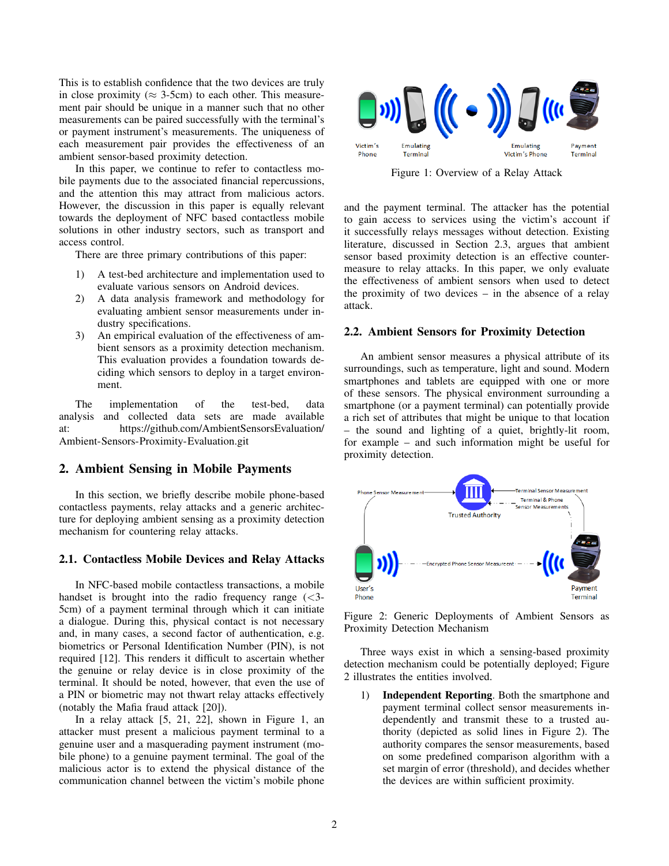This is to establish confidence that the two devices are truly in close proximity ( $\approx$  3-5cm) to each other. This measurement pair should be unique in a manner such that no other measurements can be paired successfully with the terminal's or payment instrument's measurements. The uniqueness of each measurement pair provides the effectiveness of an ambient sensor-based proximity detection.

In this paper, we continue to refer to contactless mobile payments due to the associated financial repercussions, and the attention this may attract from malicious actors. However, the discussion in this paper is equally relevant towards the deployment of NFC based contactless mobile solutions in other industry sectors, such as transport and access control.

There are three primary contributions of this paper:

- 1) A test-bed architecture and implementation used to evaluate various sensors on Android devices.
- 2) A data analysis framework and methodology for evaluating ambient sensor measurements under industry specifications.
- 3) An empirical evaluation of the effectiveness of ambient sensors as a proximity detection mechanism. This evaluation provides a foundation towards deciding which sensors to deploy in a target environment.

The implementation of the test-bed, data analysis and collected data sets are made available at: https://github.com/AmbientSensorsEvaluation/ Ambient-Sensors-Proximity-Evaluation.git

## 2. Ambient Sensing in Mobile Payments

In this section, we briefly describe mobile phone-based contactless payments, relay attacks and a generic architecture for deploying ambient sensing as a proximity detection mechanism for countering relay attacks.

### 2.1. Contactless Mobile Devices and Relay Attacks

In NFC-based mobile contactless transactions, a mobile handset is brought into the radio frequency range  $\langle \langle 3 - \rangle$ 5cm) of a payment terminal through which it can initiate a dialogue. During this, physical contact is not necessary and, in many cases, a second factor of authentication, e.g. biometrics or Personal Identification Number (PIN), is not required [12]. This renders it difficult to ascertain whether the genuine or relay device is in close proximity of the terminal. It should be noted, however, that even the use of a PIN or biometric may not thwart relay attacks effectively (notably the Mafia fraud attack [20]).

In a relay attack [5, 21, 22], shown in Figure 1, an attacker must present a malicious payment terminal to a genuine user and a masquerading payment instrument (mobile phone) to a genuine payment terminal. The goal of the malicious actor is to extend the physical distance of the communication channel between the victim's mobile phone



Figure 1: Overview of a Relay Attack

and the payment terminal. The attacker has the potential to gain access to services using the victim's account if it successfully relays messages without detection. Existing literature, discussed in Section 2.3, argues that ambient sensor based proximity detection is an effective countermeasure to relay attacks. In this paper, we only evaluate the effectiveness of ambient sensors when used to detect the proximity of two devices – in the absence of a relay attack.

#### 2.2. Ambient Sensors for Proximity Detection

An ambient sensor measures a physical attribute of its surroundings, such as temperature, light and sound. Modern smartphones and tablets are equipped with one or more of these sensors. The physical environment surrounding a smartphone (or a payment terminal) can potentially provide a rich set of attributes that might be unique to that location – the sound and lighting of a quiet, brightly-lit room, for example – and such information might be useful for proximity detection.



Figure 2: Generic Deployments of Ambient Sensors as Proximity Detection Mechanism

Three ways exist in which a sensing-based proximity detection mechanism could be potentially deployed; Figure 2 illustrates the entities involved.

1) Independent Reporting. Both the smartphone and payment terminal collect sensor measurements independently and transmit these to a trusted authority (depicted as solid lines in Figure 2). The authority compares the sensor measurements, based on some predefined comparison algorithm with a set margin of error (threshold), and decides whether the devices are within sufficient proximity.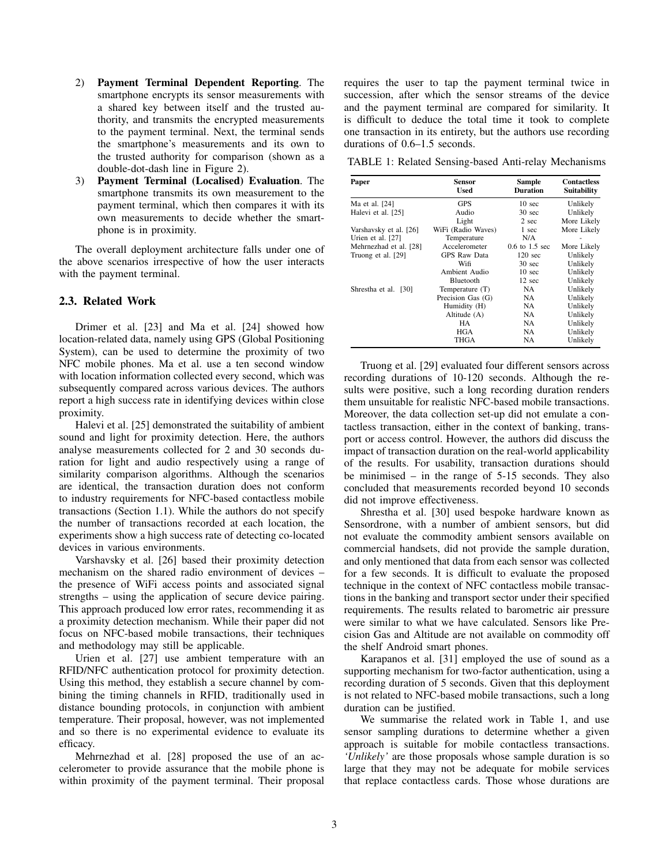- 2) Payment Terminal Dependent Reporting. The smartphone encrypts its sensor measurements with a shared key between itself and the trusted authority, and transmits the encrypted measurements to the payment terminal. Next, the terminal sends the smartphone's measurements and its own to the trusted authority for comparison (shown as a double-dot-dash line in Figure 2).
- 3) Payment Terminal (Localised) Evaluation. The smartphone transmits its own measurement to the payment terminal, which then compares it with its own measurements to decide whether the smartphone is in proximity.

The overall deployment architecture falls under one of the above scenarios irrespective of how the user interacts with the payment terminal.

## 2.3. Related Work

Drimer et al. [23] and Ma et al. [24] showed how location-related data, namely using GPS (Global Positioning System), can be used to determine the proximity of two NFC mobile phones. Ma et al. use a ten second window with location information collected every second, which was subsequently compared across various devices. The authors report a high success rate in identifying devices within close proximity.

Halevi et al. [25] demonstrated the suitability of ambient sound and light for proximity detection. Here, the authors analyse measurements collected for 2 and 30 seconds duration for light and audio respectively using a range of similarity comparison algorithms. Although the scenarios are identical, the transaction duration does not conform to industry requirements for NFC-based contactless mobile transactions (Section 1.1). While the authors do not specify the number of transactions recorded at each location, the experiments show a high success rate of detecting co-located devices in various environments.

Varshavsky et al. [26] based their proximity detection mechanism on the shared radio environment of devices – the presence of WiFi access points and associated signal strengths – using the application of secure device pairing. This approach produced low error rates, recommending it as a proximity detection mechanism. While their paper did not focus on NFC-based mobile transactions, their techniques and methodology may still be applicable.

Urien et al. [27] use ambient temperature with an RFID/NFC authentication protocol for proximity detection. Using this method, they establish a secure channel by combining the timing channels in RFID, traditionally used in distance bounding protocols, in conjunction with ambient temperature. Their proposal, however, was not implemented and so there is no experimental evidence to evaluate its efficacy.

Mehrnezhad et al. [28] proposed the use of an accelerometer to provide assurance that the mobile phone is within proximity of the payment terminal. Their proposal requires the user to tap the payment terminal twice in succession, after which the sensor streams of the device and the payment terminal are compared for similarity. It is difficult to deduce the total time it took to complete one transaction in its entirety, but the authors use recording durations of 0.6–1.5 seconds.

TABLE 1: Related Sensing-based Anti-relay Mechanisms

| Paper                   | <b>Sensor</b><br><b>Used</b> | <b>Sample</b><br><b>Duration</b> | <b>Contactless</b><br><b>Suitability</b> |  |
|-------------------------|------------------------------|----------------------------------|------------------------------------------|--|
| Ma et al. [24]          | <b>GPS</b>                   | 10 <sub>sec</sub>                | Unlikely                                 |  |
| Halevi et al. [25]      | Audio                        | $30 \text{ sec}$                 | Unlikely                                 |  |
|                         | Light                        | 2 sec                            | More Likely                              |  |
| Varshavsky et al. [26]  | WiFi (Radio Waves)           | 1 sec                            | More Likely                              |  |
| Urien et al. [27]       | Temperature                  | N/A                              |                                          |  |
| Mehrnezhad et al. [28]  | Accelerometer                | $0.6$ to $1.5$ sec               | More Likely                              |  |
| Truong et al. [29]      | <b>GPS Raw Data</b>          | $120 \text{ sec}$                | Unlikely                                 |  |
|                         | Wifi                         | $30 \text{ sec}$                 | Unlikely                                 |  |
|                         | Ambient Audio                | $10 \text{ sec}$                 | Unlikely                                 |  |
|                         | <b>Bluetooth</b>             | 12 sec                           | Unlikely                                 |  |
| Shrestha et al.<br>[30] | Temperature (T)              | NA.                              | Unlikely                                 |  |
|                         | Precision Gas (G)            | NA.                              | Unlikely                                 |  |
|                         | Humidity (H)                 | NA.                              | Unlikely                                 |  |
|                         | Altitude (A)                 | NA.                              | Unlikely                                 |  |
|                         | HA                           | NA.                              | Unlikely                                 |  |
|                         | <b>HGA</b>                   | NA.                              | Unlikely                                 |  |
|                         | THGA                         | NA.                              | Unlikely                                 |  |

Truong et al. [29] evaluated four different sensors across recording durations of 10-120 seconds. Although the results were positive, such a long recording duration renders them unsuitable for realistic NFC-based mobile transactions. Moreover, the data collection set-up did not emulate a contactless transaction, either in the context of banking, transport or access control. However, the authors did discuss the impact of transaction duration on the real-world applicability of the results. For usability, transaction durations should be minimised – in the range of 5-15 seconds. They also concluded that measurements recorded beyond 10 seconds did not improve effectiveness.

Shrestha et al. [30] used bespoke hardware known as Sensordrone, with a number of ambient sensors, but did not evaluate the commodity ambient sensors available on commercial handsets, did not provide the sample duration, and only mentioned that data from each sensor was collected for a few seconds. It is difficult to evaluate the proposed technique in the context of NFC contactless mobile transactions in the banking and transport sector under their specified requirements. The results related to barometric air pressure were similar to what we have calculated. Sensors like Precision Gas and Altitude are not available on commodity off the shelf Android smart phones.

Karapanos et al. [31] employed the use of sound as a supporting mechanism for two-factor authentication, using a recording duration of 5 seconds. Given that this deployment is not related to NFC-based mobile transactions, such a long duration can be justified.

We summarise the related work in Table 1, and use sensor sampling durations to determine whether a given approach is suitable for mobile contactless transactions. *'Unlikely'* are those proposals whose sample duration is so large that they may not be adequate for mobile services that replace contactless cards. Those whose durations are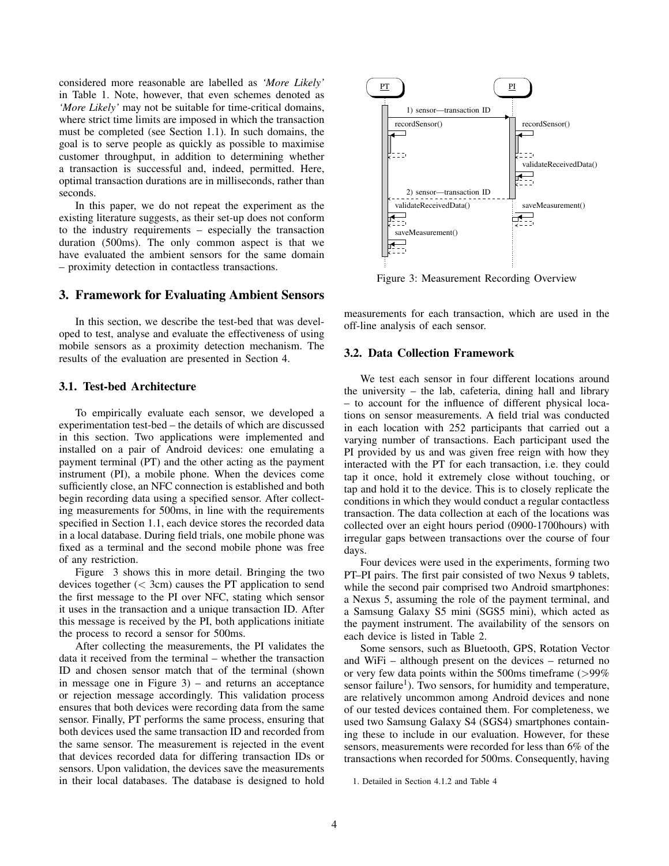considered more reasonable are labelled as *'More Likely'* in Table 1. Note, however, that even schemes denoted as *'More Likely'* may not be suitable for time-critical domains, where strict time limits are imposed in which the transaction must be completed (see Section 1.1). In such domains, the goal is to serve people as quickly as possible to maximise customer throughput, in addition to determining whether a transaction is successful and, indeed, permitted. Here, optimal transaction durations are in milliseconds, rather than seconds.

In this paper, we do not repeat the experiment as the existing literature suggests, as their set-up does not conform to the industry requirements – especially the transaction duration (500ms). The only common aspect is that we have evaluated the ambient sensors for the same domain – proximity detection in contactless transactions.

## 3. Framework for Evaluating Ambient Sensors

In this section, we describe the test-bed that was developed to test, analyse and evaluate the effectiveness of using mobile sensors as a proximity detection mechanism. The results of the evaluation are presented in Section 4.

#### 3.1. Test-bed Architecture

To empirically evaluate each sensor, we developed a experimentation test-bed – the details of which are discussed in this section. Two applications were implemented and installed on a pair of Android devices: one emulating a payment terminal (PT) and the other acting as the payment instrument (PI), a mobile phone. When the devices come sufficiently close, an NFC connection is established and both begin recording data using a specified sensor. After collecting measurements for 500ms, in line with the requirements specified in Section 1.1, each device stores the recorded data in a local database. During field trials, one mobile phone was fixed as a terminal and the second mobile phone was free of any restriction.

Figure 3 shows this in more detail. Bringing the two devices together  $( $3cm$ ) causes the PT application to send$ the first message to the PI over NFC, stating which sensor it uses in the transaction and a unique transaction ID. After this message is received by the PI, both applications initiate the process to record a sensor for 500ms.

After collecting the measurements, the PI validates the data it received from the terminal – whether the transaction ID and chosen sensor match that of the terminal (shown in message one in Figure 3) – and returns an acceptance or rejection message accordingly. This validation process ensures that both devices were recording data from the same sensor. Finally, PT performs the same process, ensuring that both devices used the same transaction ID and recorded from the same sensor. The measurement is rejected in the event that devices recorded data for differing transaction IDs or sensors. Upon validation, the devices save the measurements in their local databases. The database is designed to hold



Figure 3: Measurement Recording Overview

measurements for each transaction, which are used in the off-line analysis of each sensor.

## 3.2. Data Collection Framework

We test each sensor in four different locations around the university – the lab, cafeteria, dining hall and library – to account for the influence of different physical locations on sensor measurements. A field trial was conducted in each location with 252 participants that carried out a varying number of transactions. Each participant used the PI provided by us and was given free reign with how they interacted with the PT for each transaction, i.e. they could tap it once, hold it extremely close without touching, or tap and hold it to the device. This is to closely replicate the conditions in which they would conduct a regular contactless transaction. The data collection at each of the locations was collected over an eight hours period (0900-1700hours) with irregular gaps between transactions over the course of four days.

Four devices were used in the experiments, forming two PT–PI pairs. The first pair consisted of two Nexus 9 tablets, while the second pair comprised two Android smartphones: a Nexus 5, assuming the role of the payment terminal, and a Samsung Galaxy S5 mini (SGS5 mini), which acted as the payment instrument. The availability of the sensors on each device is listed in Table 2.

Some sensors, such as Bluetooth, GPS, Rotation Vector and WiFi – although present on the devices – returned no or very few data points within the 500ms timeframe (>99% sensor failure<sup>1</sup>). Two sensors, for humidity and temperature, are relatively uncommon among Android devices and none of our tested devices contained them. For completeness, we used two Samsung Galaxy S4 (SGS4) smartphones containing these to include in our evaluation. However, for these sensors, measurements were recorded for less than 6% of the transactions when recorded for 500ms. Consequently, having

<sup>1.</sup> Detailed in Section 4.1.2 and Table 4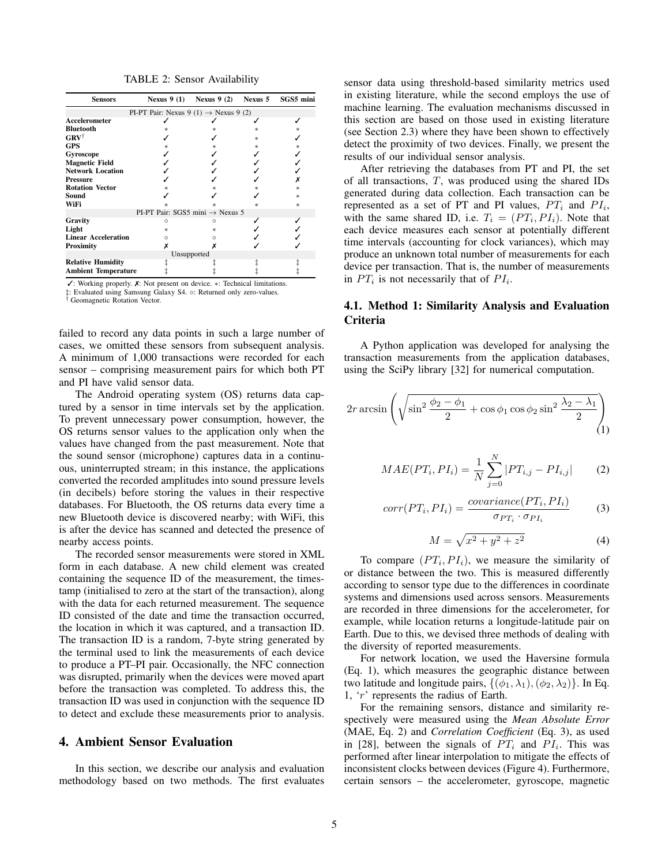TABLE 2: Sensor Availability

| <b>Sensors</b>                                    |           | Nexus 9 (1) Nexus 9 (2) Nexus 5 SGS5 mini |        |        |  |  |  |
|---------------------------------------------------|-----------|-------------------------------------------|--------|--------|--|--|--|
| PI-PT Pair: Nexus 9 (1) $\rightarrow$ Nexus 9 (2) |           |                                           |        |        |  |  |  |
| Accelerometer                                     |           |                                           |        |        |  |  |  |
| <b>Bluetooth</b>                                  |           |                                           |        |        |  |  |  |
| $GRV^{\dagger}$                                   |           |                                           | ж      |        |  |  |  |
| <b>GPS</b>                                        |           |                                           |        |        |  |  |  |
| Gyroscope                                         |           |                                           |        |        |  |  |  |
| <b>Magnetic Field</b>                             |           |                                           |        |        |  |  |  |
| <b>Network Location</b>                           |           |                                           |        |        |  |  |  |
| <b>Pressure</b>                                   |           |                                           |        |        |  |  |  |
| <b>Rotation Vector</b>                            |           |                                           |        | ×      |  |  |  |
| Sound                                             |           |                                           |        | $\ast$ |  |  |  |
| WiFi                                              |           |                                           | $\ast$ | $\ast$ |  |  |  |
| PI-PT Pair: SGS5 mini $\rightarrow$ Nexus 5       |           |                                           |        |        |  |  |  |
| Gravity                                           | $\circ$   | റ                                         |        |        |  |  |  |
| Light                                             | $^{\ast}$ |                                           |        |        |  |  |  |
| <b>Linear Acceleration</b>                        | $\circ$   |                                           |        |        |  |  |  |
| Proximity                                         |           |                                           |        |        |  |  |  |
| Unsupported                                       |           |                                           |        |        |  |  |  |
| <b>Relative Humidity</b>                          |           |                                           |        |        |  |  |  |
| <b>Ambient Temperature</b>                        |           |                                           |        |        |  |  |  |

✓: Working properly. ✗: Not present on device. ∗: Technical limitations. ‡: Evaluated using Samsung Galaxy S4. ◦: Returned only zero-values.

† Geomagnetic Rotation Vector.

failed to record any data points in such a large number of cases, we omitted these sensors from subsequent analysis. A minimum of 1,000 transactions were recorded for each sensor – comprising measurement pairs for which both PT and PI have valid sensor data.

The Android operating system (OS) returns data captured by a sensor in time intervals set by the application. To prevent unnecessary power consumption, however, the OS returns sensor values to the application only when the values have changed from the past measurement. Note that the sound sensor (microphone) captures data in a continuous, uninterrupted stream; in this instance, the applications converted the recorded amplitudes into sound pressure levels (in decibels) before storing the values in their respective databases. For Bluetooth, the OS returns data every time a new Bluetooth device is discovered nearby; with WiFi, this is after the device has scanned and detected the presence of nearby access points.

The recorded sensor measurements were stored in XML form in each database. A new child element was created containing the sequence ID of the measurement, the timestamp (initialised to zero at the start of the transaction), along with the data for each returned measurement. The sequence ID consisted of the date and time the transaction occurred, the location in which it was captured, and a transaction ID. The transaction ID is a random, 7-byte string generated by the terminal used to link the measurements of each device to produce a PT–PI pair. Occasionally, the NFC connection was disrupted, primarily when the devices were moved apart before the transaction was completed. To address this, the transaction ID was used in conjunction with the sequence ID to detect and exclude these measurements prior to analysis.

## 4. Ambient Sensor Evaluation

In this section, we describe our analysis and evaluation methodology based on two methods. The first evaluates sensor data using threshold-based similarity metrics used in existing literature, while the second employs the use of machine learning. The evaluation mechanisms discussed in this section are based on those used in existing literature (see Section 2.3) where they have been shown to effectively detect the proximity of two devices. Finally, we present the results of our individual sensor analysis.

After retrieving the databases from PT and PI, the set of all transactions, T, was produced using the shared IDs generated during data collection. Each transaction can be represented as a set of PT and PI values,  $PT_i$  and  $PI_i$ , with the same shared ID, i.e.  $T_i = (PT_i, PI_i)$ . Note that each device measures each sensor at potentially different time intervals (accounting for clock variances), which may produce an unknown total number of measurements for each device per transaction. That is, the number of measurements in  $PT_i$  is not necessarily that of  $PI_i$ .

## 4.1. Method 1: Similarity Analysis and Evaluation Criteria

A Python application was developed for analysing the transaction measurements from the application databases, using the SciPy library [32] for numerical computation.

$$
2r \arcsin\left(\sqrt{\sin^2 \frac{\phi_2 - \phi_1}{2} + \cos \phi_1 \cos \phi_2 \sin^2 \frac{\lambda_2 - \lambda_1}{2}}\right)
$$
(1)

$$
MAE(PT_i, PI_i) = \frac{1}{N} \sum_{j=0}^{N} |PT_{i,j} - PI_{i,j}|
$$
 (2)

$$
corr(PT_i, PI_i) = \frac{covariance(PT_i, PI_i)}{\sigma_{PT_i} \cdot \sigma_{PI_i}} \tag{3}
$$

$$
M = \sqrt{x^2 + y^2 + z^2}
$$
 (4)

To compare  $(PT_i, PI_i)$ , we measure the similarity of or distance between the two. This is measured differently according to sensor type due to the differences in coordinate systems and dimensions used across sensors. Measurements are recorded in three dimensions for the accelerometer, for example, while location returns a longitude-latitude pair on Earth. Due to this, we devised three methods of dealing with the diversity of reported measurements.

For network location, we used the Haversine formula (Eq. 1), which measures the geographic distance between two latitude and longitude pairs,  $\{(\phi_1, \lambda_1), (\phi_2, \lambda_2)\}\$ . In Eq. 1, 'r' represents the radius of Earth.

For the remaining sensors, distance and similarity respectively were measured using the *Mean Absolute Error* (MAE, Eq. 2) and *Correlation Coefficient* (Eq. 3), as used in [28], between the signals of  $PT_i$  and  $PI_i$ . This was performed after linear interpolation to mitigate the effects of inconsistent clocks between devices (Figure 4). Furthermore, certain sensors – the accelerometer, gyroscope, magnetic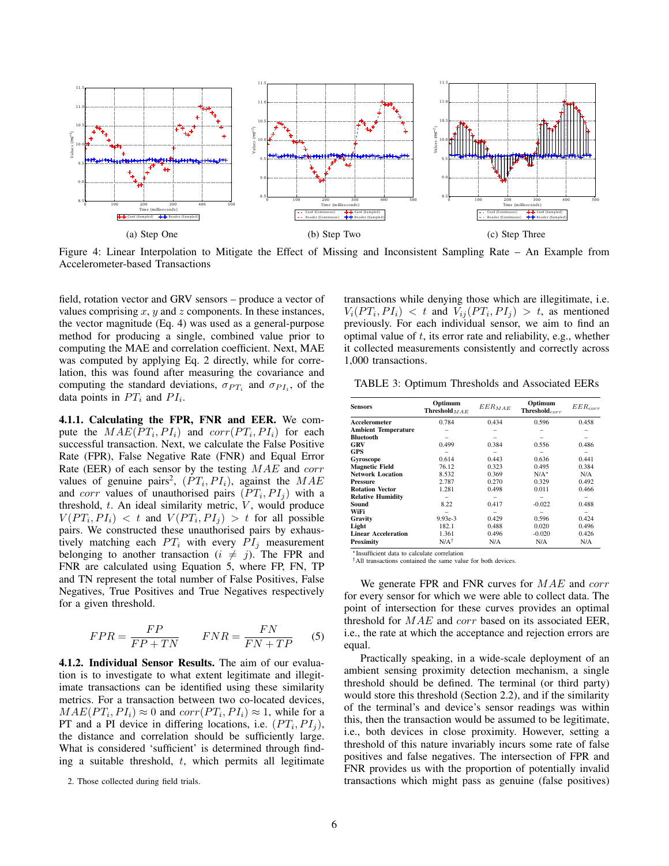

Figure 4: Linear Interpolation to Mitigate the Effect of Missing and Inconsistent Sampling Rate – An Example from Accelerometer-based Transactions

field, rotation vector and GRV sensors – produce a vector of values comprising  $x$ ,  $y$  and  $z$  components. In these instances, the vector magnitude (Eq. 4) was used as a general-purpose method for producing a single, combined value prior to computing the MAE and correlation coefficient. Next, MAE was computed by applying Eq. 2 directly, while for correlation, this was found after measuring the covariance and computing the standard deviations,  $\sigma_{PT_i}$  and  $\sigma_{PI_i}$ , of the data points in  $PT_i$  and  $PI_i$ .

4.1.1. Calculating the FPR, FNR and EER. We compute the  $MAE(PT_i, PI_i)$  and  $corr(PT_i, PI_i)$  for each successful transaction. Next, we calculate the False Positive Rate (FPR), False Negative Rate (FNR) and Equal Error Rate (EER) of each sensor by the testing  $MAE$  and corr values of genuine pairs<sup>2</sup>,  $(PT_i, PI_i)$ , against the  $MAE$ and *corr* values of unauthorised pairs  $(PT_i, PI_j)$  with a threshold,  $t$ . An ideal similarity metric,  $V$ , would produce  $V(PT_i, PI_i) < t$  and  $V(PT_i, PI_j) > t$  for all possible pairs. We constructed these unauthorised pairs by exhaustively matching each  $PT_i$  with every  $PI_j$  measurement belonging to another transaction  $(i \neq j)$ . The FPR and FNR are calculated using Equation 5, where FP, FN, TP and TN represent the total number of False Positives, False Negatives, True Positives and True Negatives respectively for a given threshold.

$$
FPR = \frac{FP}{FP + TN} \qquad FNR = \frac{FN}{FN + TP} \qquad (5)
$$

4.1.2. Individual Sensor Results. The aim of our evaluation is to investigate to what extent legitimate and illegitimate transactions can be identified using these similarity metrics. For a transaction between two co-located devices,  $MAE(PT_i, PI_i) \approx 0$  and  $corr(PT_i, PI_i) \approx 1$ , while for a PT and a PI device in differing locations, i.e.  $(PT_i, PI_j)$ , the distance and correlation should be sufficiently large. What is considered 'sufficient' is determined through finding a suitable threshold,  $t$ , which permits all legitimate transactions while denying those which are illegitimate, i.e.  $V_i(PT_i, PI_i) < t$  and  $V_{ij}(PT_i, PI_j) > t$ , as mentioned previously. For each individual sensor, we aim to find an optimal value of  $t$ , its error rate and reliability, e.g., whether it collected measurements consistently and correctly across 1,000 transactions.

TABLE 3: Optimum Thresholds and Associated EERs

| Sensors                    | Optimum<br>Threshold $_{MAE}$ | Optimum<br>$EER_{MAE}$<br>$Threshold_{corr}$ |          | $EER_{corr}$ |  |
|----------------------------|-------------------------------|----------------------------------------------|----------|--------------|--|
| Accelerometer              | 0.784                         | 0.434                                        | 0.596    | 0.458        |  |
| <b>Ambient Temperature</b> |                               |                                              |          |              |  |
| Bluetooth                  |                               |                                              |          |              |  |
| GRV                        | 0.499                         | 0.384                                        | 0.556    | 0.486        |  |
| GPS                        |                               |                                              |          |              |  |
| Gyroscope                  | 0.614                         | 0.443                                        | 0.636    | 0.441        |  |
| <b>Magnetic Field</b>      | 76.12                         | 0.323                                        | 0.495    | 0.384        |  |
| Network Location           | 8.532                         | 0.369                                        | $N/A^*$  | N/A          |  |
| Pressure                   | 2.787                         | 0.270                                        | 0.329    | 0.492        |  |
| <b>Rotation Vector</b>     | 1.281                         | 0.498                                        | 0.011    | 0.466        |  |
| <b>Relative Humidity</b>   |                               |                                              |          |              |  |
| Sound                      | 8.22                          | 0.417                                        | $-0.022$ | 0.488        |  |
| WiFi                       |                               |                                              |          | -            |  |
| Gravity                    | $9.93e-3$                     | 0.429                                        | 0.596    | 0.424        |  |
| Light                      | 182.1                         | 0.488                                        | 0.020    | 0.496        |  |
| Linear Acceleration        | 1.361                         | 0.496                                        | $-0.020$ | 0.426        |  |
| Proximity                  | $N/A^{\dagger}$               | N/A                                          | N/A      | N/A          |  |

<sup>∗</sup>Insufficient data to calculate correlation

†All transactions contained the same value for both devices.

We generate FPR and FNR curves for MAE and corr for every sensor for which we were able to collect data. The point of intersection for these curves provides an optimal threshold for MAE and corr based on its associated EER, i.e., the rate at which the acceptance and rejection errors are equal.

Practically speaking, in a wide-scale deployment of an ambient sensing proximity detection mechanism, a single threshold should be defined. The terminal (or third party) would store this threshold (Section 2.2), and if the similarity of the terminal's and device's sensor readings was within this, then the transaction would be assumed to be legitimate, i.e., both devices in close proximity. However, setting a threshold of this nature invariably incurs some rate of false positives and false negatives. The intersection of FPR and FNR provides us with the proportion of potentially invalid transactions which might pass as genuine (false positives)

<sup>2.</sup> Those collected during field trials.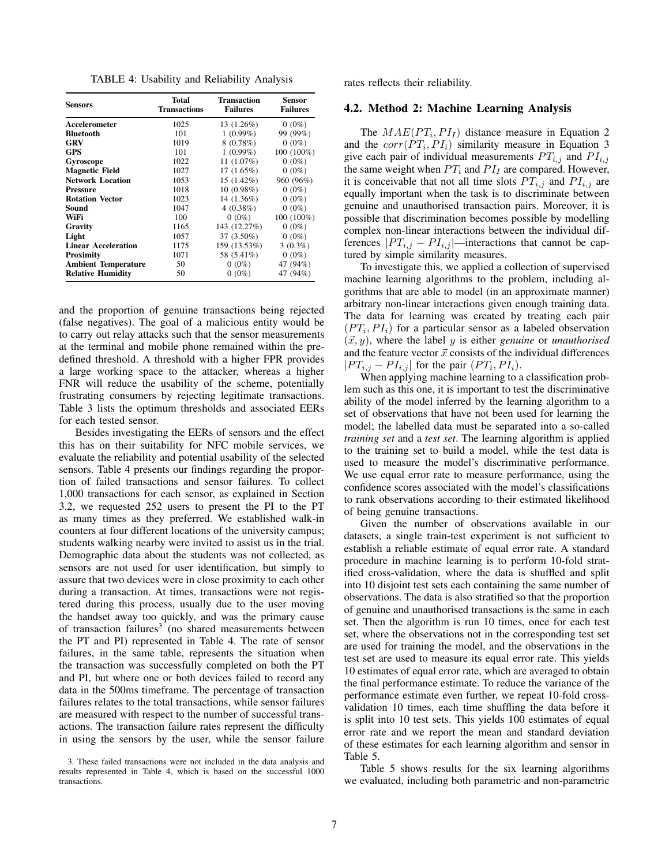TABLE 4: Usability and Reliability Analysis

| <b>Sensors</b>             | Total<br>Transactions | <b>Transaction</b><br><b>Failures</b> | Sensor<br><b>Failures</b> |  |
|----------------------------|-----------------------|---------------------------------------|---------------------------|--|
| Accelerometer              | 1025                  | 13 (1.26%)                            | $0(0\%)$                  |  |
| <b>Bluetooth</b>           | 101                   | $1(0.99\%)$                           | 99 (99%)                  |  |
| GRV                        | 1019                  | 8(0.78%)                              | $0(0\%)$                  |  |
| GPS                        | 101                   | $1(0.99\%)$                           | $100(100\%)$              |  |
| Gyroscope                  | 1022                  | 11 $(1.07%)$                          | $0(0\%)$                  |  |
| <b>Magnetic Field</b>      | 1027                  | $17(1.65\%)$                          | $0(0\%)$                  |  |
| <b>Network Location</b>    | 1053                  | 15 (1.42%)                            | 960 (96%)                 |  |
| <b>Pressure</b>            | 1018                  | 10(0.98%)                             | $0(0\%)$                  |  |
| <b>Rotation Vector</b>     | 1023                  | 14 (1.36%)                            | $0(0\%)$                  |  |
| Sound                      | 1047                  | 4(0.38%)                              | $0(0\%)$                  |  |
| WiFi                       | 100                   | $0(0\%)$                              | 100 (100%)                |  |
| Gravity                    | 1165                  | 143 (12.27%)                          | $0(0\%)$                  |  |
| Light                      | 1057                  | 37 (3.50%)                            | $0(0\%)$                  |  |
| <b>Linear Acceleration</b> | 1175                  | 159 (13.53%)                          | $3(0.3\%)$                |  |
| Proximity                  | 1071                  | 58 (5.41%)                            | $0(0\%)$                  |  |
| <b>Ambient Temperature</b> | 50                    | $0(0\%)$                              | 47 (94%)                  |  |
| <b>Relative Humidity</b>   | 50                    | $0(0\%)$                              | 47 (94%)                  |  |

and the proportion of genuine transactions being rejected (false negatives). The goal of a malicious entity would be to carry out relay attacks such that the sensor measurements at the terminal and mobile phone remained within the predefined threshold. A threshold with a higher FPR provides a large working space to the attacker, whereas a higher FNR will reduce the usability of the scheme, potentially frustrating consumers by rejecting legitimate transactions. Table 3 lists the optimum thresholds and associated EERs for each tested sensor.

Besides investigating the EERs of sensors and the effect this has on their suitability for NFC mobile services, we evaluate the reliability and potential usability of the selected sensors. Table 4 presents our findings regarding the proportion of failed transactions and sensor failures. To collect 1,000 transactions for each sensor, as explained in Section 3.2, we requested 252 users to present the PI to the PT as many times as they preferred. We established walk-in counters at four different locations of the university campus; students walking nearby were invited to assist us in the trial. Demographic data about the students was not collected, as sensors are not used for user identification, but simply to assure that two devices were in close proximity to each other during a transaction. At times, transactions were not registered during this process, usually due to the user moving the handset away too quickly, and was the primary cause of transaction failures<sup>3</sup> (no shared measurements between the PT and PI) represented in Table 4. The rate of sensor failures, in the same table, represents the situation when the transaction was successfully completed on both the PT and PI, but where one or both devices failed to record any data in the 500ms timeframe. The percentage of transaction failures relates to the total transactions, while sensor failures are measured with respect to the number of successful transactions. The transaction failure rates represent the difficulty in using the sensors by the user, while the sensor failure rates reflects their reliability.

#### 4.2. Method 2: Machine Learning Analysis

The  $MAE(PT_i, PI_I)$  distance measure in Equation 2 and the  $corr(PT_i, PI_i)$  similarity measure in Equation 3 give each pair of individual measurements  $PT_{i,j}$  and  $PI_{i,j}$ the same weight when  $PT_i$  and  $PI_I$  are compared. However, it is conceivable that not all time slots  $PT_{i,j}$  and  $PI_{i,j}$  are equally important when the task is to discriminate between genuine and unauthorised transaction pairs. Moreover, it is possible that discrimination becomes possible by modelling complex non-linear interactions between the individual differences  $|PT_{i,j} - PI_{i,j}|$ —interactions that cannot be captured by simple similarity measures.

To investigate this, we applied a collection of supervised machine learning algorithms to the problem, including algorithms that are able to model (in an approximate manner) arbitrary non-linear interactions given enough training data. The data for learning was created by treating each pair  $(PT_i, PI_i)$  for a particular sensor as a labeled observation  $({\vec x}, y)$ , where the label y is either *genuine* or *unauthorised* and the feature vector  $\vec{x}$  consists of the individual differences  $|PT_{i,j} - PI_{i,j}|$  for the pair  $(PT_i, PI_i)$ .

When applying machine learning to a classification problem such as this one, it is important to test the discriminative ability of the model inferred by the learning algorithm to a set of observations that have not been used for learning the model; the labelled data must be separated into a so-called *training set* and a *test set*. The learning algorithm is applied to the training set to build a model, while the test data is used to measure the model's discriminative performance. We use equal error rate to measure performance, using the confidence scores associated with the model's classifications to rank observations according to their estimated likelihood of being genuine transactions.

Given the number of observations available in our datasets, a single train-test experiment is not sufficient to establish a reliable estimate of equal error rate. A standard procedure in machine learning is to perform 10-fold stratified cross-validation, where the data is shuffled and split into 10 disjoint test sets each containing the same number of observations. The data is also stratified so that the proportion of genuine and unauthorised transactions is the same in each set. Then the algorithm is run 10 times, once for each test set, where the observations not in the corresponding test set are used for training the model, and the observations in the test set are used to measure its equal error rate. This yields 10 estimates of equal error rate, which are averaged to obtain the final performance estimate. To reduce the variance of the performance estimate even further, we repeat 10-fold crossvalidation 10 times, each time shuffling the data before it is split into 10 test sets. This yields 100 estimates of equal error rate and we report the mean and standard deviation of these estimates for each learning algorithm and sensor in Table 5.

Table 5 shows results for the six learning algorithms we evaluated, including both parametric and non-parametric

<sup>3.</sup> These failed transactions were not included in the data analysis and results represented in Table 4, which is based on the successful 1000 transactions.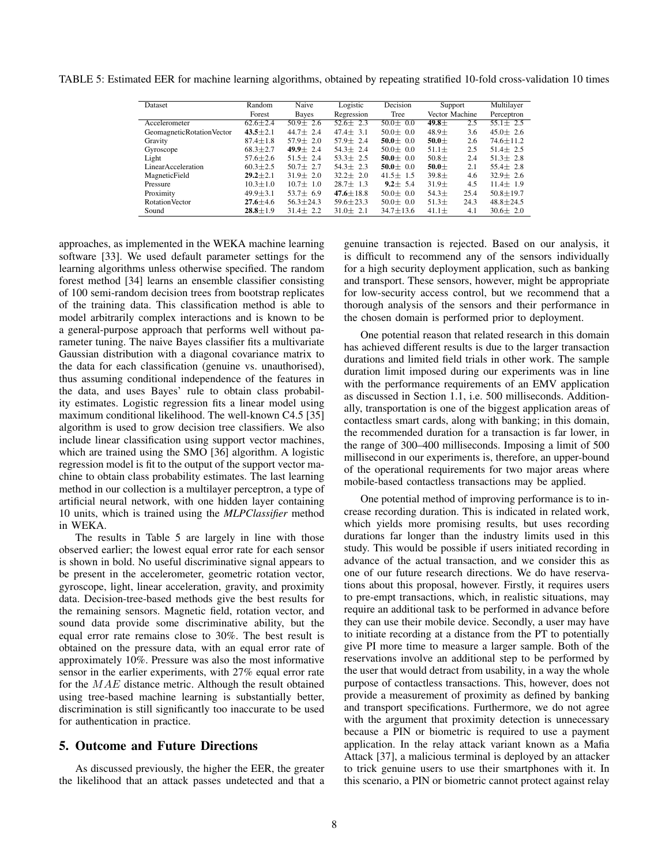| Dataset                   | Random         | Naive           | Logistic        | Decision        | Support        |      | Multilayer      |
|---------------------------|----------------|-----------------|-----------------|-----------------|----------------|------|-----------------|
|                           | Forest         | Bayes           | Regression      | Tree            | Vector Machine |      | Perceptron      |
| Accelerometer             | $62.6 \pm 2.4$ | $50.9 \pm 2.6$  | $52.6 \pm 2.3$  | $50.0 \pm 0.0$  | $49.8\pm$      | 2.5  | $55.1 \pm 2.5$  |
| GeomagneticRotationVector | $43.5 \pm 2.1$ | $44.7 \pm 2.4$  | $47.4 \pm 3.1$  | $50.0 \pm 0.0$  | $48.9 +$       | 3.6  | $45.0 \pm 2.6$  |
| Gravity                   | $87.4 \pm 1.8$ | $57.9 \pm 2.0$  | $57.9 \pm 2.4$  | 50.0 $\pm$ 0.0  | 50.0 $\pm$     | 2.6  | $74.6 \pm 11.2$ |
| Gyroscope                 | $68.3 \pm 2.7$ | 49.9 $\pm$ 2.4  | $54.3 \pm 2.4$  | $50.0 \pm 0.0$  | $51.1 \pm$     | 2.5  | $51.4 \pm 2.5$  |
| Light                     | $57.6 \pm 2.6$ | $51.5 \pm 2.4$  | $53.3 \pm 2.5$  | $50.0 \pm 0.0$  | $50.8\pm$      | 2.4  | $51.3 \pm 2.8$  |
| LinearAcceleration        | $60.3 \pm 2.5$ | $50.7 \pm 2.7$  | $54.3 \pm 2.3$  | $50.0 \pm 0.0$  | $50.0 \pm$     | 2.1  | $55.4 \pm 2.8$  |
| MagneticField             | $29.2 \pm 2.1$ | $31.9 \pm 2.0$  | $32.2 + 2.0$    | $41.5 \pm 1.5$  | $39.8 +$       | 4.6  | $32.9 \pm 2.6$  |
| Pressure                  | $10.3 \pm 1.0$ | $10.7 \pm 1.0$  | $28.7 \pm 1.3$  | $9.2 \pm 5.4$   | $31.9 +$       | 4.5  | $11.4 \pm 1.9$  |
| Proximity                 | $49.9 \pm 3.1$ | $53.7 \pm 6.9$  | $47.6 \pm 18.8$ | $50.0 \pm 0.0$  | $54.3 \pm$     | 25.4 | $50.8 \pm 19.7$ |
| <b>Rotation</b> Vector    | $27.6 \pm 4.6$ | $56.3 \pm 24.3$ | $59.6 \pm 23.3$ | $50.0 \pm 0.0$  | $51.3\pm$      | 24.3 | $48.8 \pm 24.5$ |
| Sound                     | $28.8 \pm 1.9$ | $31.4 \pm 2.2$  | $31.0 \pm 2.1$  | $34.7 \pm 13.6$ | $41.1 \pm$     | 4.1  | $30.6 \pm 2.0$  |

TABLE 5: Estimated EER for machine learning algorithms, obtained by repeating stratified 10-fold cross-validation 10 times

approaches, as implemented in the WEKA machine learning software [33]. We used default parameter settings for the learning algorithms unless otherwise specified. The random forest method [34] learns an ensemble classifier consisting of 100 semi-random decision trees from bootstrap replicates of the training data. This classification method is able to model arbitrarily complex interactions and is known to be a general-purpose approach that performs well without parameter tuning. The naive Bayes classifier fits a multivariate Gaussian distribution with a diagonal covariance matrix to the data for each classification (genuine vs. unauthorised), thus assuming conditional independence of the features in the data, and uses Bayes' rule to obtain class probability estimates. Logistic regression fits a linear model using maximum conditional likelihood. The well-known C4.5 [35] algorithm is used to grow decision tree classifiers. We also include linear classification using support vector machines, which are trained using the SMO [36] algorithm. A logistic regression model is fit to the output of the support vector machine to obtain class probability estimates. The last learning method in our collection is a multilayer perceptron, a type of artificial neural network, with one hidden layer containing 10 units, which is trained using the *MLPClassifier* method in WEKA.

The results in Table 5 are largely in line with those observed earlier; the lowest equal error rate for each sensor is shown in bold. No useful discriminative signal appears to be present in the accelerometer, geometric rotation vector, gyroscope, light, linear acceleration, gravity, and proximity data. Decision-tree-based methods give the best results for the remaining sensors. Magnetic field, rotation vector, and sound data provide some discriminative ability, but the equal error rate remains close to 30%. The best result is obtained on the pressure data, with an equal error rate of approximately 10%. Pressure was also the most informative sensor in the earlier experiments, with 27% equal error rate for the MAE distance metric. Although the result obtained using tree-based machine learning is substantially better, discrimination is still significantly too inaccurate to be used for authentication in practice.

## 5. Outcome and Future Directions

As discussed previously, the higher the EER, the greater the likelihood that an attack passes undetected and that a genuine transaction is rejected. Based on our analysis, it is difficult to recommend any of the sensors individually for a high security deployment application, such as banking and transport. These sensors, however, might be appropriate for low-security access control, but we recommend that a thorough analysis of the sensors and their performance in the chosen domain is performed prior to deployment.

One potential reason that related research in this domain has achieved different results is due to the larger transaction durations and limited field trials in other work. The sample duration limit imposed during our experiments was in line with the performance requirements of an EMV application as discussed in Section 1.1, i.e. 500 milliseconds. Additionally, transportation is one of the biggest application areas of contactless smart cards, along with banking; in this domain, the recommended duration for a transaction is far lower, in the range of 300–400 milliseconds. Imposing a limit of 500 millisecond in our experiments is, therefore, an upper-bound of the operational requirements for two major areas where mobile-based contactless transactions may be applied.

One potential method of improving performance is to increase recording duration. This is indicated in related work, which yields more promising results, but uses recording durations far longer than the industry limits used in this study. This would be possible if users initiated recording in advance of the actual transaction, and we consider this as one of our future research directions. We do have reservations about this proposal, however. Firstly, it requires users to pre-empt transactions, which, in realistic situations, may require an additional task to be performed in advance before they can use their mobile device. Secondly, a user may have to initiate recording at a distance from the PT to potentially give PI more time to measure a larger sample. Both of the reservations involve an additional step to be performed by the user that would detract from usability, in a way the whole purpose of contactless transactions. This, however, does not provide a measurement of proximity as defined by banking and transport specifications. Furthermore, we do not agree with the argument that proximity detection is unnecessary because a PIN or biometric is required to use a payment application. In the relay attack variant known as a Mafia Attack [37], a malicious terminal is deployed by an attacker to trick genuine users to use their smartphones with it. In this scenario, a PIN or biometric cannot protect against relay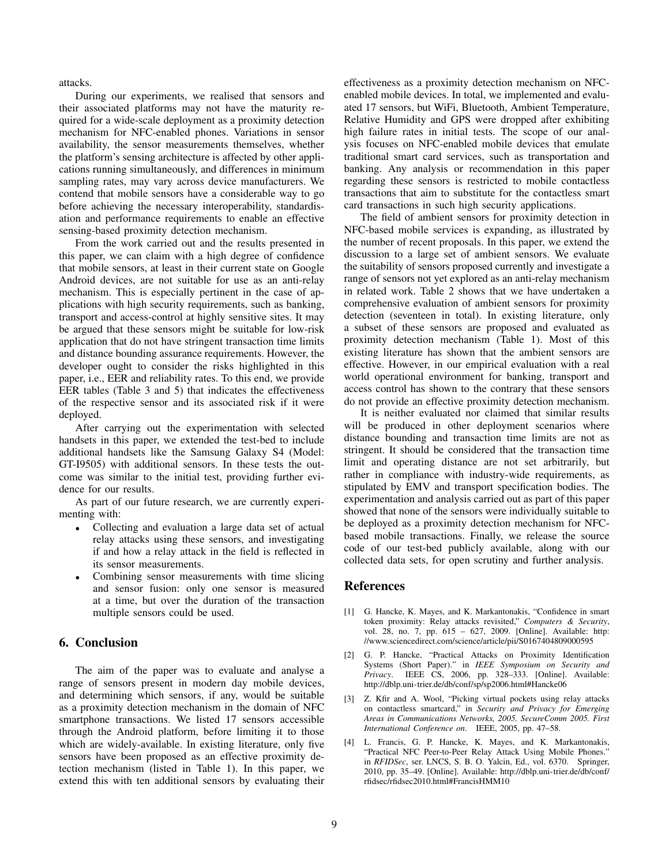attacks.

During our experiments, we realised that sensors and their associated platforms may not have the maturity required for a wide-scale deployment as a proximity detection mechanism for NFC-enabled phones. Variations in sensor availability, the sensor measurements themselves, whether the platform's sensing architecture is affected by other applications running simultaneously, and differences in minimum sampling rates, may vary across device manufacturers. We contend that mobile sensors have a considerable way to go before achieving the necessary interoperability, standardisation and performance requirements to enable an effective sensing-based proximity detection mechanism.

From the work carried out and the results presented in this paper, we can claim with a high degree of confidence that mobile sensors, at least in their current state on Google Android devices, are not suitable for use as an anti-relay mechanism. This is especially pertinent in the case of applications with high security requirements, such as banking, transport and access-control at highly sensitive sites. It may be argued that these sensors might be suitable for low-risk application that do not have stringent transaction time limits and distance bounding assurance requirements. However, the developer ought to consider the risks highlighted in this paper, i.e., EER and reliability rates. To this end, we provide EER tables (Table 3 and 5) that indicates the effectiveness of the respective sensor and its associated risk if it were deployed.

After carrying out the experimentation with selected handsets in this paper, we extended the test-bed to include additional handsets like the Samsung Galaxy S4 (Model: GT-I9505) with additional sensors. In these tests the outcome was similar to the initial test, providing further evidence for our results.

As part of our future research, we are currently experimenting with:

- Collecting and evaluation a large data set of actual relay attacks using these sensors, and investigating if and how a relay attack in the field is reflected in its sensor measurements.
- Combining sensor measurements with time slicing and sensor fusion: only one sensor is measured at a time, but over the duration of the transaction multiple sensors could be used.

## 6. Conclusion

The aim of the paper was to evaluate and analyse a range of sensors present in modern day mobile devices, and determining which sensors, if any, would be suitable as a proximity detection mechanism in the domain of NFC smartphone transactions. We listed 17 sensors accessible through the Android platform, before limiting it to those which are widely-available. In existing literature, only five sensors have been proposed as an effective proximity detection mechanism (listed in Table 1). In this paper, we extend this with ten additional sensors by evaluating their effectiveness as a proximity detection mechanism on NFCenabled mobile devices. In total, we implemented and evaluated 17 sensors, but WiFi, Bluetooth, Ambient Temperature, Relative Humidity and GPS were dropped after exhibiting high failure rates in initial tests. The scope of our analysis focuses on NFC-enabled mobile devices that emulate traditional smart card services, such as transportation and banking. Any analysis or recommendation in this paper regarding these sensors is restricted to mobile contactless transactions that aim to substitute for the contactless smart card transactions in such high security applications.

The field of ambient sensors for proximity detection in NFC-based mobile services is expanding, as illustrated by the number of recent proposals. In this paper, we extend the discussion to a large set of ambient sensors. We evaluate the suitability of sensors proposed currently and investigate a range of sensors not yet explored as an anti-relay mechanism in related work. Table 2 shows that we have undertaken a comprehensive evaluation of ambient sensors for proximity detection (seventeen in total). In existing literature, only a subset of these sensors are proposed and evaluated as proximity detection mechanism (Table 1). Most of this existing literature has shown that the ambient sensors are effective. However, in our empirical evaluation with a real world operational environment for banking, transport and access control has shown to the contrary that these sensors do not provide an effective proximity detection mechanism.

It is neither evaluated nor claimed that similar results will be produced in other deployment scenarios where distance bounding and transaction time limits are not as stringent. It should be considered that the transaction time limit and operating distance are not set arbitrarily, but rather in compliance with industry-wide requirements, as stipulated by EMV and transport specification bodies. The experimentation and analysis carried out as part of this paper showed that none of the sensors were individually suitable to be deployed as a proximity detection mechanism for NFCbased mobile transactions. Finally, we release the source code of our test-bed publicly available, along with our collected data sets, for open scrutiny and further analysis.

### References

- [1] G. Hancke, K. Mayes, and K. Markantonakis, "Confidence in smart token proximity: Relay attacks revisited," *Computers & Security*, vol. 28, no. 7, pp. 615 – 627, 2009. [Online]. Available: http: //www.sciencedirect.com/science/article/pii/S0167404809000595
- [2] G. P. Hancke, "Practical Attacks on Proximity Identification Systems (Short Paper)." in *IEEE Symposium on Security and Privacy*. IEEE CS, 2006, pp. 328–333. [Online]. Available: http://dblp.uni-trier.de/db/conf/sp/sp2006.html#Hancke06
- [3] Z. Kfir and A. Wool, "Picking virtual pockets using relay attacks on contactless smartcard," in *Security and Privacy for Emerging Areas in Communications Networks, 2005. SecureComm 2005. First International Conference on*. IEEE, 2005, pp. 47–58.
- [4] L. Francis, G. P. Hancke, K. Mayes, and K. Markantonakis, "Practical NFC Peer-to-Peer Relay Attack Using Mobile Phones." in *RFIDSec*, ser. LNCS, S. B. O. Yalcin, Ed., vol. 6370. Springer, 2010, pp. 35–49. [Online]. Available: http://dblp.uni-trier.de/db/conf/ rfidsec/rfidsec2010.html#FrancisHMM10